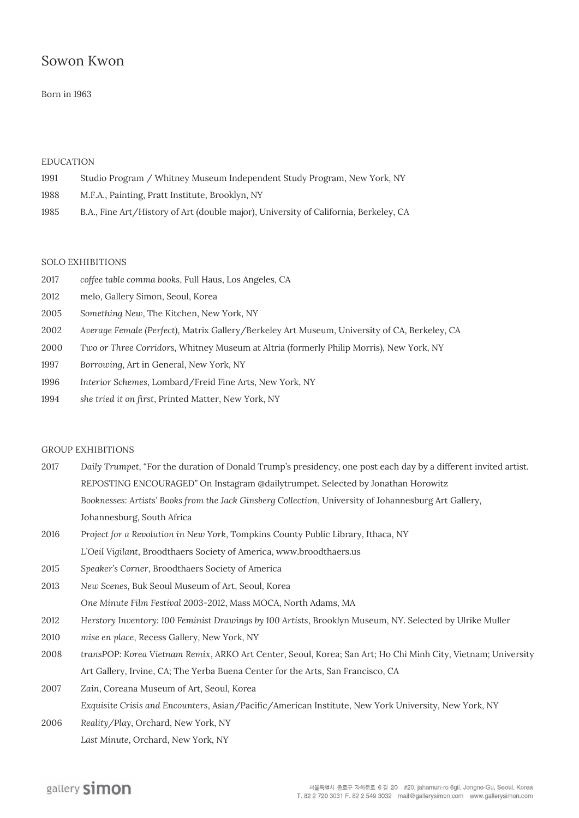# Sowon Kwon

## Born in 1963

## **EDUCATION**

- 1991 Studio Program / Whitney Museum Independent Study Program, New York, NY
- 1988 M.F.A., Painting, Pratt Institute, Brooklyn, NY
- 1985 B.A., Fine Art/History of Art (double major), University of California, Berkeley, CA

# **SOLO EXHIBITIONS**

- 2017 *coffee table comma books*, Full Haus, Los Angeles, CA
- 2012 melo, Gallery Simon, Seoul, Korea
- 2005 *Something New*, The Kitchen, New York, NY
- 2002 *Average Female (Perfect)*, Matrix Gallery/Berkeley Art Museum, University of CA, Berkeley, CA
- 2000 *Two or Three Corridors*, Whitney Museum at Altria (formerly Philip Morris), New York, NY
- 1997 *Borrowing*, Art in General, New York, NY
- 1996 *Interior Schemes*, Lombard/Freid Fine Arts, New York, NY
- 1994 *she tried it on first*, Printed Matter, New York, NY

#### **GROUP EXHIBITIONS**

- 2017 *Daily Trumpet*, "For the duration of Donald Trump's presidency, one post each day by a different invited artist. REPOSTING ENCOURAGED" On Instagram @dailytrumpet. Selected by Jonathan Horowitz *Booknesses: Artists' Books from the Jack Ginsberg Collection*, University of Johannesburg Art Gallery, Johannesburg, South Africa
- 2016 *Project for a Revolution in New York*, Tompkins County Public Library, Ithaca, NY *L'Oeil Vigilant*, Broodthaers Society of America, www.broodthaers.us
- 2015 *Speaker's Corner*, Broodthaers Society of America
- 2013 *New Scenes*, Buk Seoul Museum of Art, Seoul, Korea *One Minute Film Festival 2003-2012*, Mass MOCA, North Adams, MA
- 2012 *Herstory Inventory: 100 Feminist Drawings by 100 Artists*, Brooklyn Museum, NY. Selected by Ulrike Muller
- 2010 *mise en place*, Recess Gallery, New York, NY
- 2008 *transPOP: Korea Vietnam Remix*, ARKO Art Center, Seoul, Korea; San Art; Ho Chi Minh City, Vietnam; University Art Gallery, Irvine, CA; The Yerba Buena Center for the Arts, San Francisco, CA
- 2007 *Zain*, Coreana Museum of Art, Seoul, Korea *Exquisite Crisis and Encounters*, Asian/Pacific/American Institute, New York University, New York, NY
- 2006 *Reality/Play*, Orchard, New York, NY *Last Minute*, Orchard, New York, NY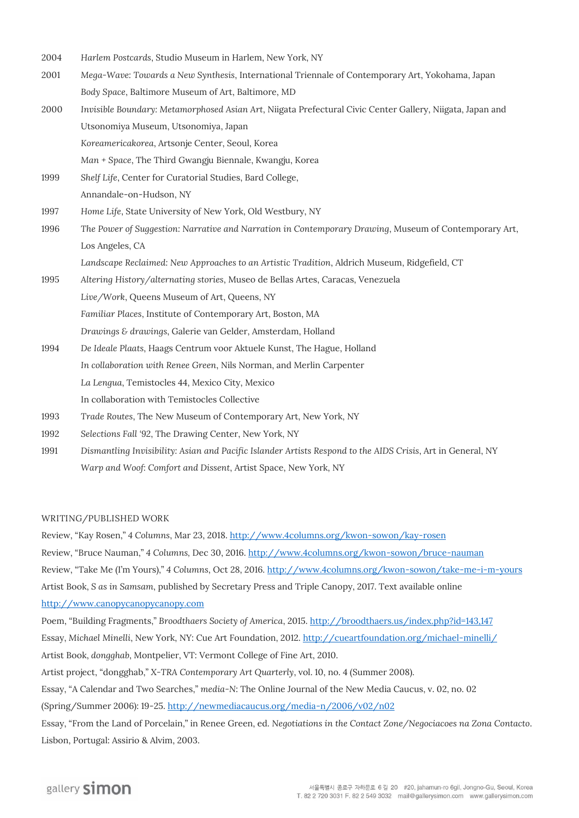2004 *Harlem Postcards*, Studio Museum in Harlem, New York, NY 2001 *Mega-Wave: Towards a New Synthesis*, International Triennale of Contemporary Art, Yokohama, Japan *Body Space*, Baltimore Museum of Art, Baltimore, MD 2000 *Invisible Boundary: Metamorphosed Asian Art*, Niigata Prefectural Civic Center Gallery, Niigata, Japan and Utsonomiya Museum, Utsonomiya, Japan *Koreamericakorea*, Artsonje Center, Seoul, Korea *Man + Space*, The Third Gwangju Biennale, Kwangju, Korea 1999 *Shelf Life*, Center for Curatorial Studies, Bard College, Annandale-on-Hudson, NY 1997 *Home Life*, State University of New York, Old Westbury, NY 1996 *The Power of Suggestion: Narrative and Narration in Contemporary Drawing*, Museum of Contemporary Art, Los Angeles, CA *Landscape Reclaimed: New Approaches to an Artistic Tradition*, Aldrich Museum, Ridgefield, CT 1995 *Altering History/alternating stories*, Museo de Bellas Artes, Caracas, Venezuela *Live/Work*, Queens Museum of Art, Queens, NY *Familiar Places*, Institute of Contemporary Art, Boston, MA *Drawings & drawings*, Galerie van Gelder, Amsterdam, Holland 1994 *De Ideale Plaats*, Haags Centrum voor Aktuele Kunst, The Hague, Holland *In collaboration with Renee Green*, Nils Norman, and Merlin Carpenter *La Lengua*, Temistocles 44, Mexico City, Mexico In collaboration with Temistocles Collective 1993 *Trade Routes*, The New Museum of Contemporary Art, New York, NY 1992 *Selections Fall '92*, The Drawing Center, New York, NY 1991 *Dismantling Invisibility: Asian and Pacific Islander Artists Respond to the AIDS Crisis*, Art in General, NY

#### **WRITING/PUBLISHED WORK**

Review, "Kay Rosen," *4 Columns*, Mar 23, 2018. <http://www.4columns.org/kwon-sowon/kay-rosen> Review, "Bruce Nauman," *4 Columns,* Dec 30, 2016[. http://www.4columns.org/kwon-sowon/bruce-nauman](http://www.4columns.org/kwon-sowon/bruce-nauman) Review, "Take Me (I'm Yours)," *4 Columns*, Oct 28, 2016[. http://www.4columns.org/kwon-sowon/take-me-i-m-yours](http://www.4columns.org/kwon-sowon/take-me-i-m-yours) Artist Book, *S as in Samsam*, published by Secretary Press and Triple Canopy, 2017. Text available online [http://www.canopycanopycanopy.com](http://www.canopycanopycanopy.com/)

*Warp and Woof: Comfort and Dissent*, Artist Space, New York, NY

Poem, "Building Fragments," *Broodthaers Society of America*, 2015[. http://broodthaers.us/index.php?id=143,147](http://broodthaers.us/index.php?id=143,147) Essay, *Michael Minelli*, New York, NY: Cue Art Foundation, 2012[. http://cueartfoundation.org/michael-minelli/](http://cueartfoundation.org/michael-minelli/) Artist Book, *dongghab*, Montpelier, VT: Vermont College of Fine Art, 2010. Artist project, "dongghab," *X-TRA Contemporary Art Quarterly*, vol. 10, no. 4 (Summer 2008). Essay, "A Calendar and Two Searches," *media-N*: The Online Journal of the New Media Caucus, v. 02, no. 02 (Spring/Summer 2006): 19-25[. http://newmediacaucus.org/media-n/2006/v02/n02](http://newmediacaucus.org/media-n/2006/v02/n02) Essay, "From the Land of Porcelain," in Renee Green, ed. *Negotiations in the Contact Zone/Negociacoes na Zona Contacto*. Lisbon, Portugal: Assirio & Alvim, 2003.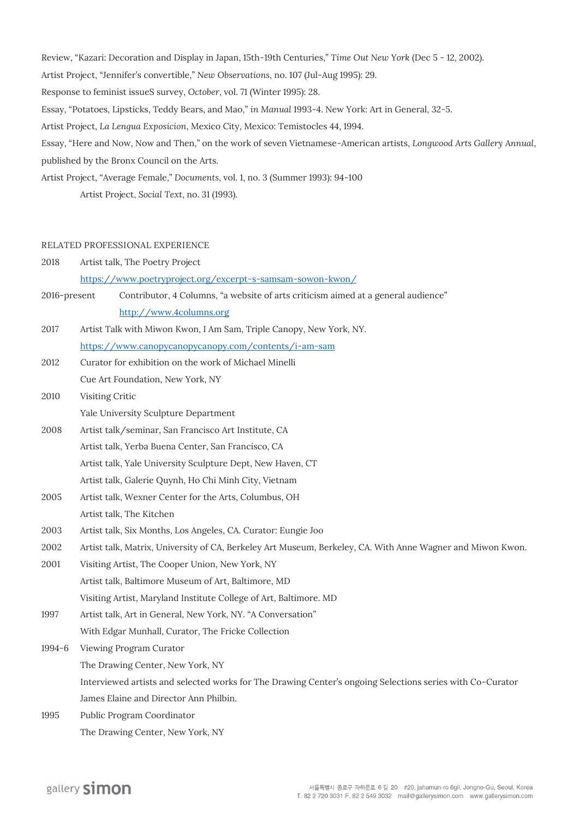Review, "Kazari: Decoration and Display in Japan, 15th-19th Centuries," *Time Out New York* (Dec 5 - 12, 2002). Artist Project, "Jennifer's convertible," *New Observations*, no. 107 (Jul-Aug 1995): 29. Response to feminist issueS survey, *October*, vol. 71 (Winter 1995): 28. Essay, "Potatoes, Lipsticks, Teddy Bears, and Mao," *in Manual* 1993-4. New York: Art in General, 32-5. Artist Project, *La Lengua Exposicion*, Mexico City, Mexico: Temistocles 44, 1994. Essay, "Here and Now, Now and Then," on the work of seven Vietnamese-American artists, *Longwood Arts Gallery Annual*, published by the Bronx Council on the Arts. Artist Project, "Average Female," *Documents*, vol. 1, no. 3 (Summer 1993): 94-100 Artist Project, *Social Text*, no. 31 (1993).

#### **RELATED PROFESSIONAL EXPERIENCE**

| 2018         | Artist talk, The Poetry Project                                                                            |
|--------------|------------------------------------------------------------------------------------------------------------|
|              | https://www.poetryproject.org/excerpt-s-samsam-sowon-kwon/                                                 |
| 2016-present | Contributor, 4 Columns, "a website of arts criticism aimed at a general audience"                          |
|              | http://www.4columns.org                                                                                    |
| 2017         | Artist Talk with Miwon Kwon, I Am Sam, Triple Canopy, New York, NY.                                        |
|              | https://www.canopycanopycanopy.com/contents/i-am-sam                                                       |
| 2012         | Curator for exhibition on the work of Michael Minelli                                                      |
|              | Cue Art Foundation, New York, NY                                                                           |
| 2010         | Visiting Critic                                                                                            |
|              | Yale University Sculpture Department                                                                       |
| 2008         | Artist talk/seminar, San Francisco Art Institute, CA                                                       |
|              | Artist talk, Yerba Buena Center, San Francisco, CA                                                         |
|              | Artist talk, Yale University Sculpture Dept, New Haven, CT                                                 |
|              | Artist talk, Galerie Quynh, Ho Chi Minh City, Vietnam                                                      |
| 2005         | Artist talk, Wexner Center for the Arts, Columbus, OH                                                      |
|              | Artist talk, The Kitchen                                                                                   |
| 2003         | Artist talk, Six Months, Los Angeles, CA. Curator: Eungie Joo                                              |
| 2002         | Artist talk, Matrix, University of CA, Berkeley Art Museum, Berkeley, CA. With Anne Wagner and Miwon Kwon. |
| 2001         | Visiting Artist, The Cooper Union, New York, NY                                                            |
|              | Artist talk, Baltimore Museum of Art, Baltimore, MD                                                        |
|              | Visiting Artist, Maryland Institute College of Art, Baltimore. MD                                          |
| 1997         | Artist talk, Art in General, New York, NY. "A Conversation"                                                |
|              | With Edgar Munhall, Curator, The Fricke Collection                                                         |
| $1994 - 6$   | Viewing Program Curator                                                                                    |
|              | The Drawing Center, New York, NY                                                                           |
|              | Interviewed artists and selected works for The Drawing Center's ongoing Selections series with Co-Curator  |
|              | James Elaine and Director Ann Philbin.                                                                     |
| 1995         | Public Program Coordinator                                                                                 |
|              | The Drawing Center, New York, NY                                                                           |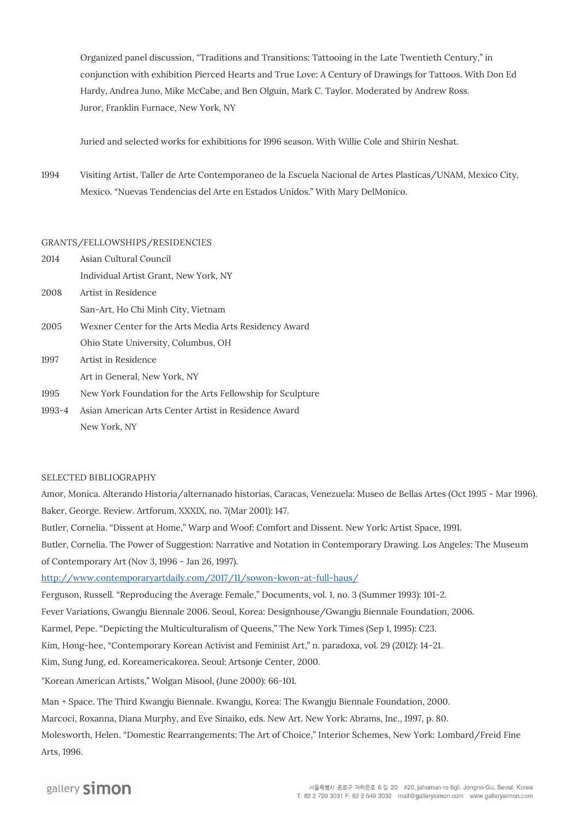Organized panel discussion, "Traditions and Transitions: Tattooing in the Late Twentieth Century," in conjunction with exhibition Pierced Hearts and True Love: A Century of Drawings for Tattoos. With Don Ed Hardy, Andrea Juno, Mike McCabe, and Ben Olguin, Mark C. Taylor. Moderated by Andrew Ross. Juror, Franklin Furnace, New York, NY

Juried and selected works for exhibitions for 1996 season. With Willie Cole and Shirin Neshat.

1994 Visiting Artist, Taller de Arte Contemporaneo de la Escuela Nacional de Artes Plasticas/UNAM, Mexico City, Mexico. "Nuevas Tendencias del Arte en Estados Unidos." With Mary DelMonico.

### **GRANTS/FELLOWSHIPS/RESIDENCIES**

- 2014 Asian Cultural Council Individual Artist Grant, New York, NY 2008 Artist in Residence San-Art, Ho Chi Minh City, Vietnam 2005 Wexner Center for the Arts Media Arts Residency Award Ohio State University, Columbus, OH 1997 Artist in Residence Art in General, New York, NY
- 1995 New York Foundation for the Arts Fellowship for Sculpture
- 1993-4 Asian American Arts Center Artist in Residence Award New York, NY

### **SELECTED BIBLIOGRAPHY**

Amor, Monica. Alterando Historia/alternanado historias, Caracas, Venezuela: Museo de Bellas Artes (Oct 1995 - Mar 1996). Baker, George. Review. Artforum, XXXIX, no. 7(Mar 2001): 147.

Butler, Cornelia. "Dissent at Home," Warp and Woof: Comfort and Dissent. New York: Artist Space, 1991.

Butler, Cornelia. The Power of Suggestion: Narrative and Notation in Contemporary Drawing. Los Angeles: The Museum of Contemporary Art (Nov 3, 1996 - Jan 26, 1997).

<http://www.contemporaryartdaily.com/2017/11/sowon-kwon-at-full-haus/>

Ferguson, Russell. "Reproducing the Average Female," Documents, vol. 1, no. 3 (Summer 1993): 101-2.

Fever Variations, Gwangju Biennale 2006. Seoul, Korea: Designhouse/Gwangju Biennale Foundation, 2006.

Karmel, Pepe. "Depicting the Multiculturalism of Queens," The New York Times (Sep 1, 1995): C23.

Kim, Hong-hee, "Contemporary Korean Activist and Feminist Art," n. paradoxa, vol. 29 (2012): 14-21.

Kim, Sung Jung, ed. Koreamericakorea. Seoul: Artsonje Center, 2000.

"Korean American Artists," Wolgan Misool, (June 2000): 66-101.

Man + Space. The Third Kwangju Biennale. Kwangju, Korea: The Kwangju Biennale Foundation, 2000.

Marcoci, Roxanna, Diana Murphy, and Eve Sinaiko, eds. New Art. New York: Abrams, Inc., 1997, p. 80.

Molesworth, Helen. "Domestic Rearrangements: The Art of Choice," Interior Schemes, New York: Lombard/Freid Fine Arts, 1996.